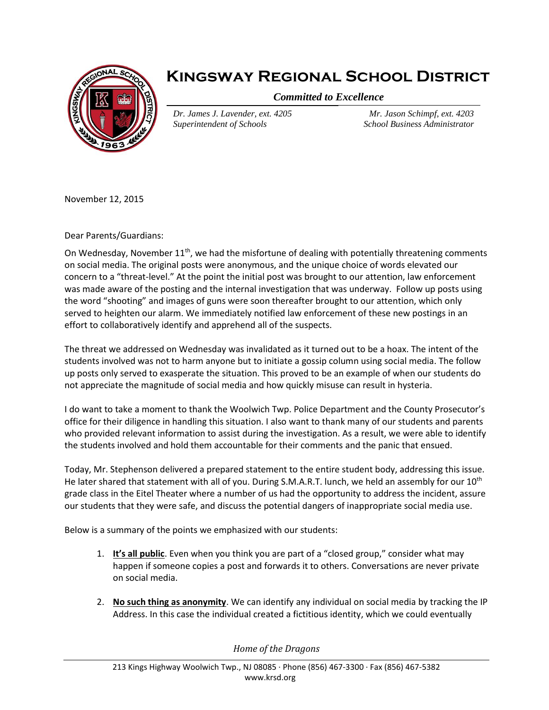

## **Kingsway Regional School District**

*Committed to Excellence*

*Dr. James J. Lavender, ext. 4205 Superintendent of Schools*

*Mr. Jason Schimpf, ext. 4203 School Business Administrator*

November 12, 2015

Dear Parents/Guardians:

On Wednesday, November 11<sup>th</sup>, we had the misfortune of dealing with potentially threatening comments on social media. The original posts were anonymous, and the unique choice of words elevated our concern to a "threat-level." At the point the initial post was brought to our attention, law enforcement was made aware of the posting and the internal investigation that was underway. Follow up posts using the word "shooting" and images of guns were soon thereafter brought to our attention, which only served to heighten our alarm. We immediately notified law enforcement of these new postings in an effort to collaboratively identify and apprehend all of the suspects.

The threat we addressed on Wednesday was invalidated as it turned out to be a hoax. The intent of the students involved was not to harm anyone but to initiate a gossip column using social media. The follow up posts only served to exasperate the situation. This proved to be an example of when our students do not appreciate the magnitude of social media and how quickly misuse can result in hysteria.

I do want to take a moment to thank the Woolwich Twp. Police Department and the County Prosecutor's office for their diligence in handling this situation. I also want to thank many of our students and parents who provided relevant information to assist during the investigation. As a result, we were able to identify the students involved and hold them accountable for their comments and the panic that ensued.

Today, Mr. Stephenson delivered a prepared statement to the entire student body, addressing this issue. He later shared that statement with all of you. During S.M.A.R.T. lunch, we held an assembly for our 10<sup>th</sup> grade class in the Eitel Theater where a number of us had the opportunity to address the incident, assure our students that they were safe, and discuss the potential dangers of inappropriate social media use.

Below is a summary of the points we emphasized with our students:

- 1. **It's all public**. Even when you think you are part of a "closed group," consider what may happen if someone copies a post and forwards it to others. Conversations are never private on social media.
- 2. **No such thing as anonymity**. We can identify any individual on social media by tracking the IP Address. In this case the individual created a fictitious identity, which we could eventually

*Home of the Dragons*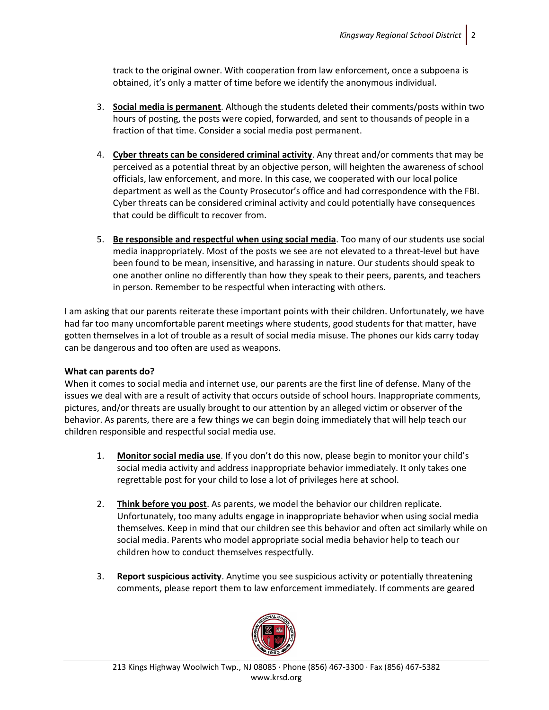track to the original owner. With cooperation from law enforcement, once a subpoena is obtained, it's only a matter of time before we identify the anonymous individual.

- 3. **Social media is permanent**. Although the students deleted their comments/posts within two hours of posting, the posts were copied, forwarded, and sent to thousands of people in a fraction of that time. Consider a social media post permanent.
- 4. **Cyber threats can be considered criminal activity**. Any threat and/or comments that may be perceived as a potential threat by an objective person, will heighten the awareness of school officials, law enforcement, and more. In this case, we cooperated with our local police department as well as the County Prosecutor's office and had correspondence with the FBI. Cyber threats can be considered criminal activity and could potentially have consequences that could be difficult to recover from.
- 5. **Be responsible and respectful when using social media**. Too many of our students use social media inappropriately. Most of the posts we see are not elevated to a threat-level but have been found to be mean, insensitive, and harassing in nature. Our students should speak to one another online no differently than how they speak to their peers, parents, and teachers in person. Remember to be respectful when interacting with others.

I am asking that our parents reiterate these important points with their children. Unfortunately, we have had far too many uncomfortable parent meetings where students, good students for that matter, have gotten themselves in a lot of trouble as a result of social media misuse. The phones our kids carry today can be dangerous and too often are used as weapons.

## **What can parents do?**

When it comes to social media and internet use, our parents are the first line of defense. Many of the issues we deal with are a result of activity that occurs outside of school hours. Inappropriate comments, pictures, and/or threats are usually brought to our attention by an alleged victim or observer of the behavior. As parents, there are a few things we can begin doing immediately that will help teach our children responsible and respectful social media use.

- 1. **Monitor social media use**. If you don't do this now, please begin to monitor your child's social media activity and address inappropriate behavior immediately. It only takes one regrettable post for your child to lose a lot of privileges here at school.
- 2. **Think before you post**. As parents, we model the behavior our children replicate. Unfortunately, too many adults engage in inappropriate behavior when using social media themselves. Keep in mind that our children see this behavior and often act similarly while on social media. Parents who model appropriate social media behavior help to teach our children how to conduct themselves respectfully.
- 3. **Report suspicious activity**. Anytime you see suspicious activity or potentially threatening comments, please report them to law enforcement immediately. If comments are geared